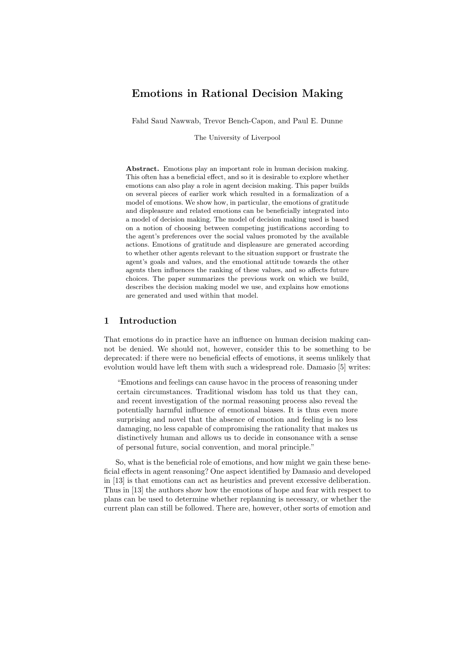# Emotions in Rational Decision Making

Fahd Saud Nawwab, Trevor Bench-Capon, and Paul E. Dunne

The University of Liverpool

Abstract. Emotions play an important role in human decision making. This often has a beneficial effect, and so it is desirable to explore whether emotions can also play a role in agent decision making. This paper builds on several pieces of earlier work which resulted in a formalization of a model of emotions. We show how, in particular, the emotions of gratitude and displeasure and related emotions can be beneficially integrated into a model of decision making. The model of decision making used is based on a notion of choosing between competing justifications according to the agent's preferences over the social values promoted by the available actions. Emotions of gratitude and displeasure are generated according to whether other agents relevant to the situation support or frustrate the agent's goals and values, and the emotional attitude towards the other agents then influences the ranking of these values, and so affects future choices. The paper summarizes the previous work on which we build, describes the decision making model we use, and explains how emotions are generated and used within that model.

# 1 Introduction

That emotions do in practice have an influence on human decision making cannot be denied. We should not, however, consider this to be something to be deprecated: if there were no beneficial effects of emotions, it seems unlikely that evolution would have left them with such a widespread role. Damasio [5] writes:

"Emotions and feelings can cause havoc in the process of reasoning under certain circumstances. Traditional wisdom has told us that they can, and recent investigation of the normal reasoning process also reveal the potentially harmful influence of emotional biases. It is thus even more surprising and novel that the absence of emotion and feeling is no less damaging, no less capable of compromising the rationality that makes us distinctively human and allows us to decide in consonance with a sense of personal future, social convention, and moral principle."

So, what is the beneficial role of emotions, and how might we gain these beneficial effects in agent reasoning? One aspect identified by Damasio and developed in [13] is that emotions can act as heuristics and prevent excessive deliberation. Thus in [13] the authors show how the emotions of hope and fear with respect to plans can be used to determine whether replanning is necessary, or whether the current plan can still be followed. There are, however, other sorts of emotion and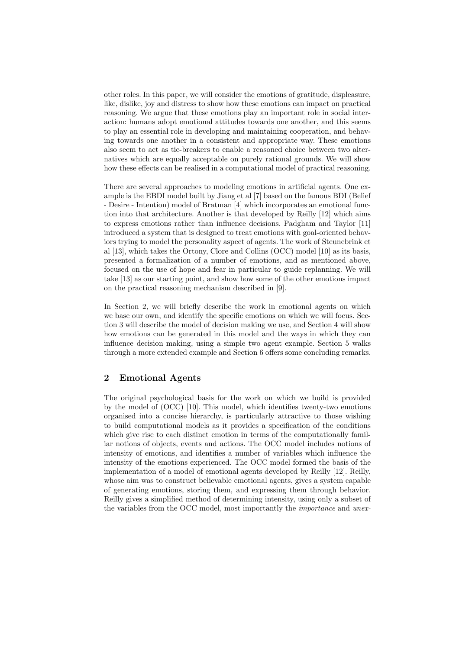other roles. In this paper, we will consider the emotions of gratitude, displeasure, like, dislike, joy and distress to show how these emotions can impact on practical reasoning. We argue that these emotions play an important role in social interaction: humans adopt emotional attitudes towards one another, and this seems to play an essential role in developing and maintaining cooperation, and behaving towards one another in a consistent and appropriate way. These emotions also seem to act as tie-breakers to enable a reasoned choice between two alternatives which are equally acceptable on purely rational grounds. We will show how these effects can be realised in a computational model of practical reasoning.

There are several approaches to modeling emotions in artificial agents. One example is the EBDI model built by Jiang et al [7] based on the famous BDI (Belief - Desire - Intention) model of Bratman [4] which incorporates an emotional function into that architecture. Another is that developed by Reilly [12] which aims to express emotions rather than influence decisions. Padgham and Taylor [11] introduced a system that is designed to treat emotions with goal-oriented behaviors trying to model the personality aspect of agents. The work of Steunebrink et al [13], which takes the Ortony, Clore and Collins (OCC) model [10] as its basis, presented a formalization of a number of emotions, and as mentioned above, focused on the use of hope and fear in particular to guide replanning. We will take [13] as our starting point, and show how some of the other emotions impact on the practical reasoning mechanism described in [9].

In Section 2, we will briefly describe the work in emotional agents on which we base our own, and identify the specific emotions on which we will focus. Section 3 will describe the model of decision making we use, and Section 4 will show how emotions can be generated in this model and the ways in which they can influence decision making, using a simple two agent example. Section 5 walks through a more extended example and Section 6 offers some concluding remarks.

# 2 Emotional Agents

The original psychological basis for the work on which we build is provided by the model of (OCC) [10]. This model, which identifies twenty-two emotions organised into a concise hierarchy, is particularly attractive to those wishing to build computational models as it provides a specification of the conditions which give rise to each distinct emotion in terms of the computationally familiar notions of objects, events and actions. The OCC model includes notions of intensity of emotions, and identifies a number of variables which influence the intensity of the emotions experienced. The OCC model formed the basis of the implementation of a model of emotional agents developed by Reilly [12]. Reilly, whose aim was to construct believable emotional agents, gives a system capable of generating emotions, storing them, and expressing them through behavior. Reilly gives a simplified method of determining intensity, using only a subset of the variables from the OCC model, most importantly the *importance* and *unex*-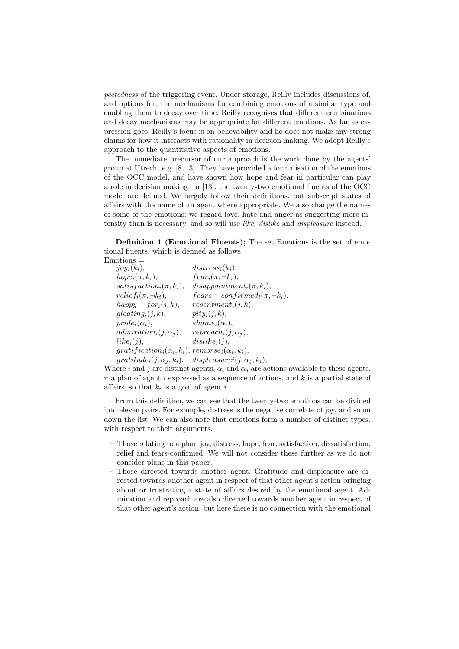pectedness of the triggering event. Under storage, Reilly includes discussions of, and options for, the mechanisms for combining emotions of a similar type and enabling them to decay over time. Reilly recognises that different combinations and decay mechanisms may be appropriate for different emotions. As far as expression goes, Reilly's focus is on believability and he does not make any strong claims for how it interacts with rationality in decision making. We adopt Reilly's approach to the quantitative aspects of emotions.

The immediate precursor of our approach is the work done by the agents' group at Utrecht e.g. [8, 13]. They have provided a formalisation of the emotions of the OCC model, and have shown how hope and fear in particular can play a role in decision making. In [13], the twenty-two emotional fluents of the OCC model are defined. We largely follow their definitions, but subscript states of affairs with the name of an agent where appropriate. We also change the names of some of the emotions: we regard love, hate and anger as suggesting more intensity than is necessary, and so will use like, dislike and displeasure instead.

Definition 1 (Emotional Fluents); The set Emotions is the set of emotional fluents, which is defined as follows:

 $\text{Emotions} = \text{i} \frac{\partial y_i(k_i)}{\partial x_i(k_i)}$  $distress<sub>i</sub>(k<sub>i</sub>),$  $hope_i(\pi, k_i),$  fear<sub>i</sub> $(\pi, \neg k_i),$  $satisfactor_i(\pi, k_i), \quad disappointment_i(\pi, k_i),$  $relief_i(\pi, \neg k_i),$  fears – confirmed<sub>i</sub> $(\pi, \neg k_i),$  $happy - for_i(j, k),$  resentment<sub>i</sub> $(j, k),$  $gloating_i(j, k),$   $pity_i(j, k),$  $pride_i(\alpha_i),$  shame<sub>i</sub> $(\alpha_i),$  $admitation_i(j, \alpha_j),$  reproach<sub>i</sub> $(j, \alpha_j),$  $like_i(j),$  dislike<sub>i</sub> $(j),$  $gratification_i(\alpha_i,k_i), \,remorse_i(\alpha_i,k_i),$  $gratitude_i(j, \alpha_j, k_i), \quad displacement (j, \alpha_j, k_i),$ 

Where i and j are distinct agents,  $\alpha_i$  and  $\alpha_j$  are actions available to these agents,  $\pi$  a plan of agent i expressed as a sequence of actions, and k is a partial state of affairs, so that  $k_i$  is a goal of agent *i*.

From this definition, we can see that the twenty-two emotions can be divided into eleven pairs. For example, distress is the negative correlate of joy, and so on down the list. We can also note that emotions form a number of distinct types, with respect to their arguments.

- Those relating to a plan: joy, distress, hope, fear, satisfaction, dissatisfaction, relief and fears-confirmed. We will not consider these further as we do not consider plans in this paper.
- Those directed towards another agent. Gratitude and displeasure are directed towards another agent in respect of that other agent's action bringing about or frustrating a state of affairs desired by the emotional agent. Admiration and reproach are also directed towards another agent in respect of that other agent's action, but here there is no connection with the emotional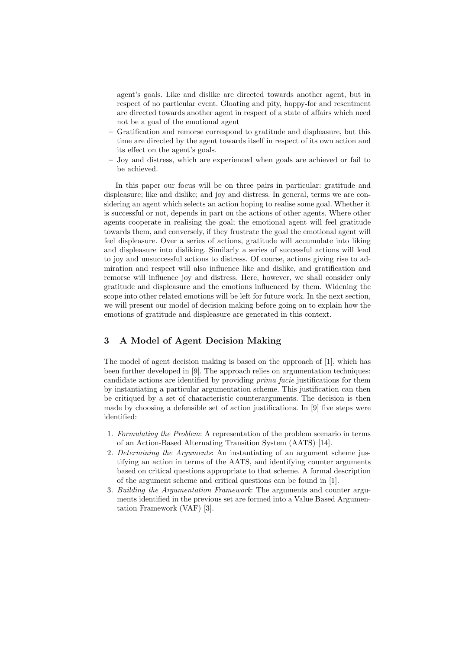agent's goals. Like and dislike are directed towards another agent, but in respect of no particular event. Gloating and pity, happy-for and resentment are directed towards another agent in respect of a state of affairs which need not be a goal of the emotional agent

- Gratification and remorse correspond to gratitude and displeasure, but this time are directed by the agent towards itself in respect of its own action and its effect on the agent's goals.
- Joy and distress, which are experienced when goals are achieved or fail to be achieved.

In this paper our focus will be on three pairs in particular: gratitude and displeasure; like and dislike; and joy and distress. In general, terms we are considering an agent which selects an action hoping to realise some goal. Whether it is successful or not, depends in part on the actions of other agents. Where other agents cooperate in realising the goal; the emotional agent will feel gratitude towards them, and conversely, if they frustrate the goal the emotional agent will feel displeasure. Over a series of actions, gratitude will accumulate into liking and displeasure into disliking. Similarly a series of successful actions will lead to joy and unsuccessful actions to distress. Of course, actions giving rise to admiration and respect will also influence like and dislike, and gratification and remorse will influence joy and distress. Here, however, we shall consider only gratitude and displeasure and the emotions influenced by them. Widening the scope into other related emotions will be left for future work. In the next section, we will present our model of decision making before going on to explain how the emotions of gratitude and displeasure are generated in this context.

# 3 A Model of Agent Decision Making

The model of agent decision making is based on the approach of [1], which has been further developed in [9]. The approach relies on argumentation techniques: candidate actions are identified by providing prima facie justifications for them by instantiating a particular argumentation scheme. This justification can then be critiqued by a set of characteristic counterarguments. The decision is then made by choosing a defensible set of action justifications. In [9] five steps were identified:

- 1. Formulating the Problem: A representation of the problem scenario in terms of an Action-Based Alternating Transition System (AATS) [14].
- 2. Determining the Arguments: An instantiating of an argument scheme justifying an action in terms of the AATS, and identifying counter arguments based on critical questions appropriate to that scheme. A formal description of the argument scheme and critical questions can be found in [1].
- 3. Building the Argumentation Framework: The arguments and counter arguments identified in the previous set are formed into a Value Based Argumentation Framework (VAF) [3].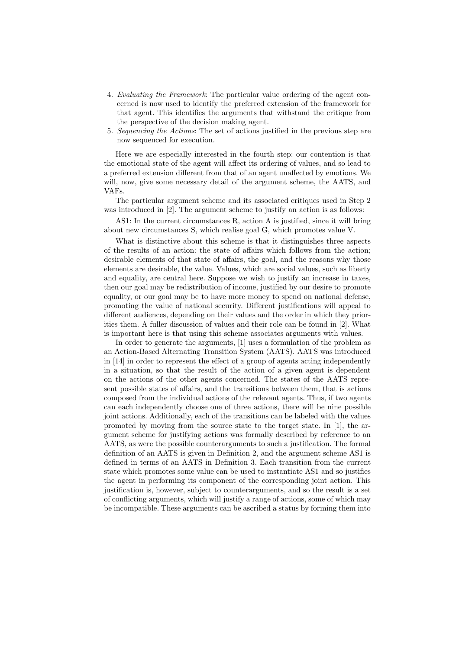- 4. Evaluating the Framework: The particular value ordering of the agent concerned is now used to identify the preferred extension of the framework for that agent. This identifies the arguments that withstand the critique from the perspective of the decision making agent.
- 5. Sequencing the Actions: The set of actions justified in the previous step are now sequenced for execution.

Here we are especially interested in the fourth step: our contention is that the emotional state of the agent will affect its ordering of values, and so lead to a preferred extension different from that of an agent unaffected by emotions. We will, now, give some necessary detail of the argument scheme, the AATS, and VAFs.

The particular argument scheme and its associated critiques used in Step 2 was introduced in [2]. The argument scheme to justify an action is as follows:

AS1: In the current circumstances R, action A is justified, since it will bring about new circumstances S, which realise goal G, which promotes value V.

What is distinctive about this scheme is that it distinguishes three aspects of the results of an action: the state of affairs which follows from the action; desirable elements of that state of affairs, the goal, and the reasons why those elements are desirable, the value. Values, which are social values, such as liberty and equality, are central here. Suppose we wish to justify an increase in taxes, then our goal may be redistribution of income, justified by our desire to promote equality, or our goal may be to have more money to spend on national defense, promoting the value of national security. Different justifications will appeal to different audiences, depending on their values and the order in which they priorities them. A fuller discussion of values and their role can be found in [2]. What is important here is that using this scheme associates arguments with values.

In order to generate the arguments, [1] uses a formulation of the problem as an Action-Based Alternating Transition System (AATS). AATS was introduced in [14] in order to represent the effect of a group of agents acting independently in a situation, so that the result of the action of a given agent is dependent on the actions of the other agents concerned. The states of the AATS represent possible states of affairs, and the transitions between them, that is actions composed from the individual actions of the relevant agents. Thus, if two agents can each independently choose one of three actions, there will be nine possible joint actions. Additionally, each of the transitions can be labeled with the values promoted by moving from the source state to the target state. In [1], the argument scheme for justifying actions was formally described by reference to an AATS, as were the possible counterarguments to such a justification. The formal definition of an AATS is given in Definition 2, and the argument scheme AS1 is defined in terms of an AATS in Definition 3. Each transition from the current state which promotes some value can be used to instantiate AS1 and so justifies the agent in performing its component of the corresponding joint action. This justification is, however, subject to counterarguments, and so the result is a set of conflicting arguments, which will justify a range of actions, some of which may be incompatible. These arguments can be ascribed a status by forming them into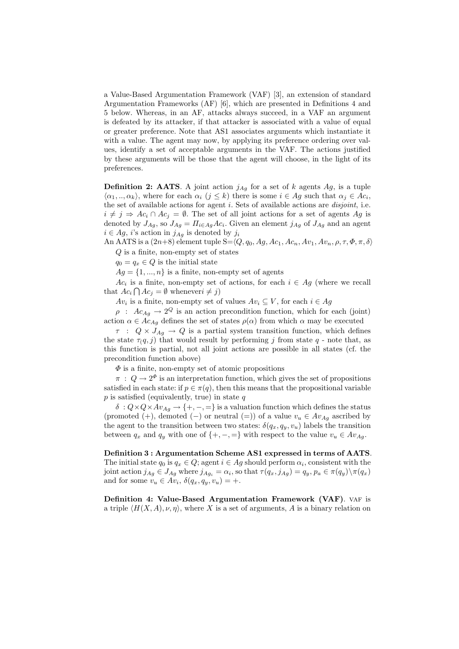a Value-Based Argumentation Framework (VAF) [3], an extension of standard Argumentation Frameworks (AF) [6], which are presented in Definitions 4 and 5 below. Whereas, in an AF, attacks always succeed, in a VAF an argument is defeated by its attacker, if that attacker is associated with a value of equal or greater preference. Note that AS1 associates arguments which instantiate it with a value. The agent may now, by applying its preference ordering over values, identify a set of acceptable arguments in the VAF. The actions justified by these arguments will be those that the agent will choose, in the light of its preferences.

**Definition 2: AATS**. A joint action  $j_{Ag}$  for a set of k agents  $Ag$ , is a tuple  $\langle \alpha_1, ..., \alpha_k \rangle$ , where for each  $\alpha_i$   $(j \leq k)$  there is some  $i \in Ag$  such that  $\alpha_j \in Ac_i$ , the set of available actions for agent i. Sets of available actions are  $disjoint$ , i.e.  $i \neq j \Rightarrow Ac_i \cap Ac_j = \emptyset$ . The set of all joint actions for a set of agents Ag is denoted by  $J_{Ag}$ , so  $J_{Ag} = \prod_{i \in Ag} Ac_i$ . Given an element  $j_{Ag}$  of  $J_{Ag}$  and an agent  $i \in Ag$ , i's action in  $j_{Ag}$  is denoted by  $j_i$ 

An AATS is a  $(2n+8)$  element tuple  $S = \langle Q, q_0, Ag, Ac_1, Ac_n, Av_1, Av_n, \rho, \tau, \Phi, \pi, \delta \rangle$ Q is a finite, non-empty set of states

 $q_0 = q_x \in Q$  is the initial state

 $Ag = \{1, ..., n\}$  is a finite, non-empty set of agents

 $Ac_i$  is a finite, non-empty set of actions, for each  $i \in Ag$  (where we recall that  $Ac_i \bigcap Ac_j = \emptyset$  whenever  $i \neq j$ )

 $Av_i$  is a finite, non-empty set of values  $Av_i \subseteq V$ , for each  $i \in Ag$ 

 $\rho$ :  $Ac_{Ag} \rightarrow 2^Q$  is an action precondition function, which for each (joint) action  $\alpha \in Ac_{Ag}$  defines the set of states  $\rho(\alpha)$  from which  $\alpha$  may be executed

 $\tau$  :  $Q \times J_{Ag} \rightarrow Q$  is a partial system transition function, which defines the state  $\tau(q, j)$  that would result by performing j from state q - note that, as this function is partial, not all joint actions are possible in all states (cf. the precondition function above)

 $\Phi$  is a finite, non-empty set of atomic propositions

 $\pi$ :  $Q \to 2^{\Phi}$  is an interpretation function, which gives the set of propositions satisfied in each state: if  $p \in \pi(q)$ , then this means that the propositional variable  $p$  is satisfied (equivalently, true) in state  $q$ 

 $\delta\ : Q \times Q \times Av_{Ag} \to \{+,-,=\}$  is a valuation function which defines the status (promoted (+), demoted (-) or neutral (=)) of a value  $v_u \in Av_{Ag}$  ascribed by the agent to the transition between two states:  $\delta(q_x, q_y, v_u)$  labels the transition between  $q_x$  and  $q_y$  with one of  $\{+,-,\equiv\}$  with respect to the value  $v_u \in Av_{Ag}$ .

Definition 3 : Argumentation Scheme AS1 expressed in terms of AATS. The initial state  $q_0$  is  $q_x \in Q$ ; agent  $i \in Ag$  should perform  $\alpha_i$ , consistent with the joint action  $j_{Ag} \in J_{Ag}$  where  $j_{Ag_i} = \alpha_i$ , so that  $\tau(q_x, j_{Ag}) = q_y$ ,  $p_a \in \pi(q_y) \setminus \pi(q_x)$ and for some  $v_u \in Av_i$ ,  $\delta(q_x, q_y, v_u) = +$ .

Definition 4: Value-Based Argumentation Framework (VAF). VAF is a triple  $\langle H(X, A), \nu, \eta \rangle$ , where X is a set of arguments, A is a binary relation on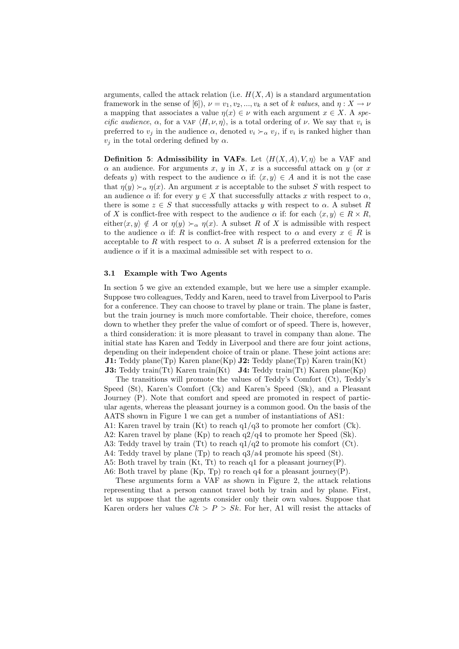arguments, called the attack relation (i.e.  $H(X, A)$ ) is a standard argumentation framework in the sense of [6]),  $\nu = v_1, v_2, ..., v_k$  a set of k values, and  $\eta : X \to \nu$ a mapping that associates a value  $\eta(x) \in \nu$  with each argument  $x \in X$ . A specific audience,  $\alpha$ , for a VAF  $\langle H, \nu, \eta \rangle$ , is a total ordering of  $\nu$ . We say that  $v_i$  is preferred to  $v_j$  in the audience  $\alpha$ , denoted  $v_i \succ_\alpha v_j$ , if  $v_i$  is ranked higher than  $v_i$  in the total ordering defined by  $\alpha$ .

**Definition 5: Admissibility in VAFs.** Let  $\langle H(X, A), V, \eta \rangle$  be a VAF and  $\alpha$  an audience. For arguments x, y in X, x is a successful attack on y (or x defeats y) with respect to the audience  $\alpha$  if:  $\langle x, y \rangle \in A$  and it is not the case that  $\eta(y) \succ_{\alpha} \eta(x)$ . An argument x is acceptable to the subset S with respect to an audience  $\alpha$  if: for every  $y \in X$  that successfully attacks x with respect to  $\alpha$ , there is some  $z \in S$  that successfully attacks y with respect to  $\alpha$ . A subset R of X is conflict-free with respect to the audience  $\alpha$  if: for each  $\langle x, y \rangle \in R \times R$ , either $\langle x, y \rangle \notin A$  or  $\eta(y) \succ_{\alpha} \eta(x)$ . A subset R of X is admissible with respect to the audience  $\alpha$  if: R is conflict-free with respect to  $\alpha$  and every  $x \in R$  is acceptable to R with respect to  $\alpha$ . A subset R is a preferred extension for the audience  $\alpha$  if it is a maximal admissible set with respect to  $\alpha$ .

### 3.1 Example with Two Agents

In section 5 we give an extended example, but we here use a simpler example. Suppose two colleagues, Teddy and Karen, need to travel from Liverpool to Paris for a conference. They can choose to travel by plane or train. The plane is faster, but the train journey is much more comfortable. Their choice, therefore, comes down to whether they prefer the value of comfort or of speed. There is, however, a third consideration: it is more pleasant to travel in company than alone. The initial state has Karen and Teddy in Liverpool and there are four joint actions, depending on their independent choice of train or plane. These joint actions are: **J1:** Teddy plane(Tp) Karen plane(Kp) **J2:** Teddy plane(Tp) Karen train(Kt) J3: Teddy train(Tt) Karen train(Kt) J4: Teddy train(Tt) Karen plane(Kp)

The transitions will promote the values of Teddy's Comfort (Ct), Teddy's Speed (St), Karen's Comfort (Ck) and Karen's Speed (Sk), and a Pleasant Journey (P). Note that comfort and speed are promoted in respect of particular agents, whereas the pleasant journey is a common good. On the basis of the AATS shown in Figure 1 we can get a number of instantiations of AS1: A1: Karen travel by train  $(Kt)$  to reach  $q1/q3$  to promote her comfort  $(Ck)$ . A2: Karen travel by plane (Kp) to reach q2/q4 to promote her Speed (Sk). A3: Teddy travel by train (Tt) to reach  $q1/q2$  to promote his comfort (Ct). A4: Teddy travel by plane (Tp) to reach  $q3/a4$  promote his speed (St).

A5: Both travel by train  $(Kt, Tt)$  to reach q1 for a pleasant journey $(P)$ .

A6: Both travel by plane (Kp, Tp) ro reach  $q4$  for a pleasant journey(P).

These arguments form a VAF as shown in Figure 2, the attack relations representing that a person cannot travel both by train and by plane. First, let us suppose that the agents consider only their own values. Suppose that Karen orders her values  $Ck > P > Sk$ . For her, A1 will resist the attacks of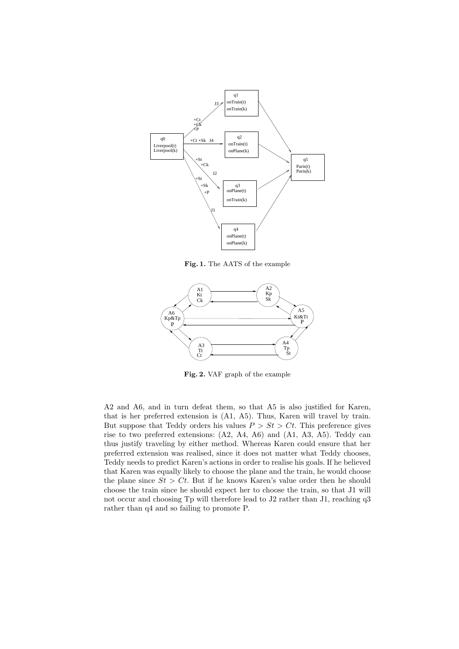

Fig. 1. The AATS of the example



Fig. 2. VAF graph of the example

A2 and A6, and in turn defeat them, so that A5 is also justified for Karen, that is her preferred extension is (A1, A5). Thus, Karen will travel by train. But suppose that Teddy orders his values  $P > St > Ct$ . This preference gives rise to two preferred extensions: (A2, A4, A6) and (A1, A3, A5). Teddy can thus justify traveling by either method. Whereas Karen could ensure that her preferred extension was realised, since it does not matter what Teddy chooses, Teddy needs to predict Karen's actions in order to realise his goals. If he believed that Karen was equally likely to choose the plane and the train, he would choose the plane since  $St > Ct$ . But if he knows Karen's value order then he should choose the train since he should expect her to choose the train, so that J1 will not occur and choosing Tp will therefore lead to J2 rather than J1, reaching q3 rather than q4 and so failing to promote P.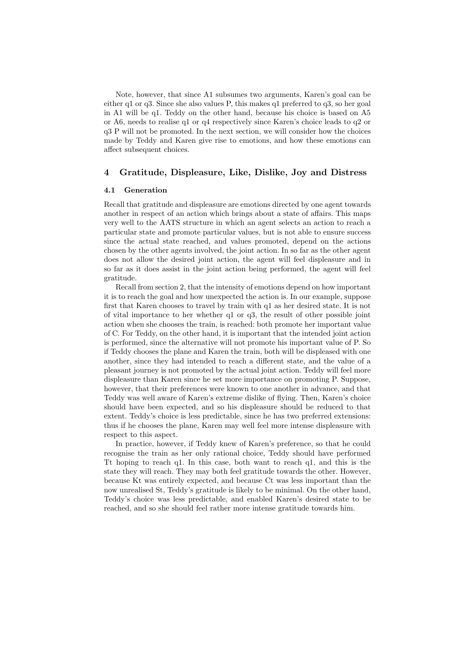Note, however, that since A1 subsumes two arguments, Karen's goal can be either q1 or q3. Since she also values P, this makes q1 preferred to q3, so her goal in A1 will be q1. Teddy on the other hand, because his choice is based on A5 or A6, needs to realise q1 or q4 respectively since Karen's choice leads to q2 or q3 P will not be promoted. In the next section, we will consider how the choices made by Teddy and Karen give rise to emotions, and how these emotions can affect subsequent choices.

## 4 Gratitude, Displeasure, Like, Dislike, Joy and Distress

#### 4.1 Generation

Recall that gratitude and displeasure are emotions directed by one agent towards another in respect of an action which brings about a state of affairs. This maps very well to the AATS structure in which an agent selects an action to reach a particular state and promote particular values, but is not able to ensure success since the actual state reached, and values promoted, depend on the actions chosen by the other agents involved, the joint action. In so far as the other agent does not allow the desired joint action, the agent will feel displeasure and in so far as it does assist in the joint action being performed, the agent will feel gratitude.

Recall from section 2, that the intensity of emotions depend on how important it is to reach the goal and how unexpected the action is. In our example, suppose first that Karen chooses to travel by train with q1 as her desired state. It is not of vital importance to her whether q1 or q3, the result of other possible joint action when she chooses the train, is reached: both promote her important value of C. For Teddy, on the other hand, it is important that the intended joint action is performed, since the alternative will not promote his important value of P. So if Teddy chooses the plane and Karen the train, both will be displeased with one another, since they had intended to reach a different state, and the value of a pleasant journey is not promoted by the actual joint action. Teddy will feel more displeasure than Karen since he set more importance on promoting P. Suppose, however, that their preferences were known to one another in advance, and that Teddy was well aware of Karen's extreme dislike of flying. Then, Karen's choice should have been expected, and so his displeasure should be reduced to that extent. Teddy's choice is less predictable, since he has two preferred extensions: thus if he chooses the plane, Karen may well feel more intense displeasure with respect to this aspect.

In practice, however, if Teddy knew of Karen's preference, so that he could recognise the train as her only rational choice, Teddy should have performed Tt hoping to reach q1. In this case, both want to reach q1, and this is the state they will reach. They may both feel gratitude towards the other. However, because Kt was entirely expected, and because Ct was less important than the now unrealised St, Teddy's gratitude is likely to be minimal. On the other hand, Teddy's choice was less predictable, and enabled Karen's desired state to be reached, and so she should feel rather more intense gratitude towards him.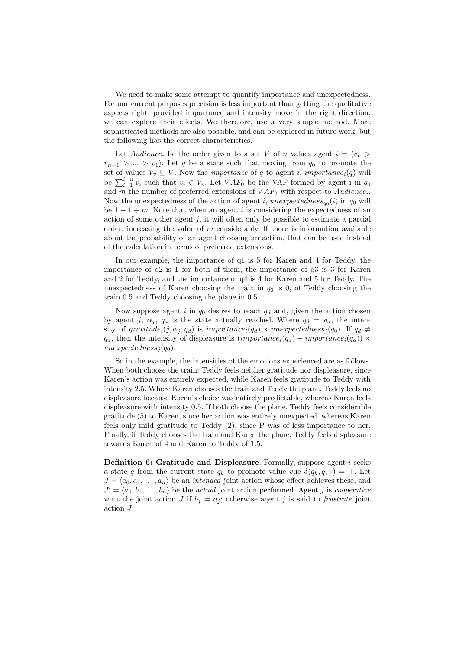We need to make some attempt to quantify importance and unexpectedness. For our current purposes precision is less important than getting the qualitative aspects right: provided importance and intensity move in the right direction, we can explore their effects. We therefore, use a very simple method. More sophisticated methods are also possible, and can be explored in future work, but the following has the correct characteristics.

Let Audience<sub>i</sub> be the order given to a set V of n values agent  $i = \langle v_n \rangle$  $v_{n-1} > ... > v_1$ ). Let q be a state such that moving from  $q_0$  to promote the set of values  $V_v \subseteq V$ . Now the *importance* of q to agent *i*, *importance*<sub>*i*</sub>(q) will be  $\sum_{i=1}^{i=n} v_i$  such that  $v_i \in V_v$ . Let  $VAR_0$  be the VAF formed by agent i in  $q_0$ and m the number of preferred extensions of  $VAR_0$  with respect to  $Audioce_i$ . Now the unexpectedness of the action of agent *i*,  $unexpectedness_{q_0}(i)$  in  $q_0$  will be  $1 - 1 \div m$ . Note that when an agent *i* is considering the expectedness of an action of some other agent  $j$ , it will often only be possible to estimate a partial order, increasing the value of  $m$  considerably. If there is information available about the probability of an agent choosing an action, that can be used instead of the calculation in terms of preferred extensions.

In our example, the importance of q1 is 5 for Karen and 4 for Teddy, the importance of q2 is 1 for both of them, the importance of q3 is 3 for Karen and 2 for Teddy, and the importance of q4 is 4 for Karen and 5 for Teddy. The unexpectedness of Karen choosing the train in  $q_0$  is 0, of Teddy choosing the train 0.5 and Teddy choosing the plane in 0.5.

Now suppose agent i in  $q_0$  desires to reach  $q_d$  and, given the action chosen by agent j,  $\alpha_j$ ,  $q_a$  is the state actually reached. Where  $q_d = q_a$ , the intensity of gratitude<sub>i</sub> $(j, \alpha_j, q_d)$  is importance<sub>i</sub> $(q_d) \times$  unexpectedness<sub>j</sub> $(q_0)$ . If  $q_d \neq$  $q_a$ , then the intensity of displeasure is  $(importance_i(q_d) - importance_i(q_a)) \times$ unexpectedness<sub>i</sub>( $q_0$ ).

So in the example, the intensities of the emotions experienced are as follows. When both choose the train: Teddy feels neither gratitude nor displeasure, since Karen's action was entirely expected, while Karen feels gratitude to Teddy with intensity 2.5. Where Karen chooses the train and Teddy the plane, Teddy feels no displeasure because Karen's choice was entirely predictable, whereas Karen feels displeasure with intensity 0.5. If both choose the plane, Teddy feels considerable gratitude (5) to Karen, since her action was entirely unexpected. whereas Karen feels only mild gratitude to Teddy (2), since P was of less importance to her. Finally, if Teddy chooses the train and Karen the plane, Teddy feels displeasure towards Karen of 4 and Karen to Teddy of 1.5.

Definition 6: Gratitude and Displeasure. Formally, suppose agent i seeks a state q from the current state  $q_k$  to promote value v,ie  $\delta(q_k, q, v) = +$ . Let  $J = \langle a_0, a_1, \ldots, a_n \rangle$  be an *intended* joint action whose effect achieves these, and  $J' = \langle a_0, b_1, \ldots, b_n \rangle$  be the actual joint action performed. Agent j is cooperative w.r.t the joint action J if  $b_i = a_j$ ; otherwise agent j is said to frustrate joint action J.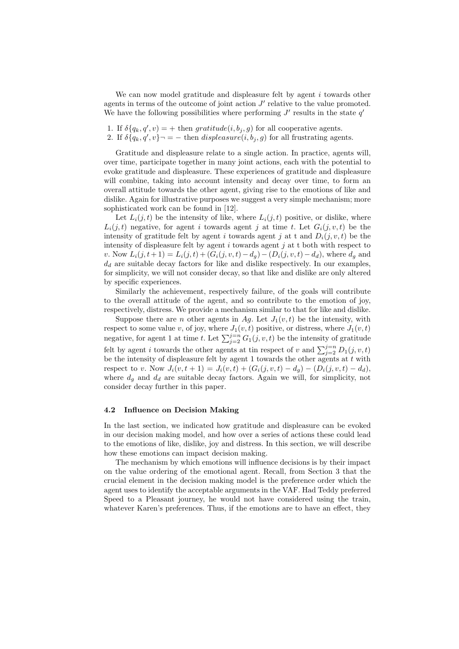We can now model gratitude and displeasure felt by agent  $i$  towards other agents in terms of the outcome of joint action  $J'$  relative to the value promoted. We have the following possibilities where performing  $J'$  results in the state  $q'$ 

- 1. If  $\delta\{q_k, q', v\} = +$  then gratitude $(i, b_j, g)$  for all cooperative agents.
- 2. If  $\delta\{q_k, q', v\}$  = then *displeasure* $(i, b_j, g)$  for all frustrating agents.

Gratitude and displeasure relate to a single action. In practice, agents will, over time, participate together in many joint actions, each with the potential to evoke gratitude and displeasure. These experiences of gratitude and displeasure will combine, taking into account intensity and decay over time, to form an overall attitude towards the other agent, giving rise to the emotions of like and dislike. Again for illustrative purposes we suggest a very simple mechanism; more sophisticated work can be found in [12].

Let  $L_i(j, t)$  be the intensity of like, where  $L_i(j, t)$  positive, or dislike, where  $L_i(j, t)$  negative, for agent i towards agent j at time t. Let  $G_i(j, v, t)$  be the intensity of gratitude felt by agent i towards agent j at t and  $D_i(j, v, t)$  be the intensity of displeasure felt by agent  $i$  towards agent  $j$  at t both with respect to v. Now  $L_i(j, t + 1) = L_i(j, t) + (G_i(j, v, t) - d_g) - (D_i(j, v, t) - d_d)$ , where  $d_g$  and  $d_d$  are suitable decay factors for like and dislike respectively. In our examples, for simplicity, we will not consider decay, so that like and dislike are only altered by specific experiences.

Similarly the achievement, respectively failure, of the goals will contribute to the overall attitude of the agent, and so contribute to the emotion of joy, respectively, distress. We provide a mechanism similar to that for like and dislike.

Suppose there are *n* other agents in Ag. Let  $J_1(v, t)$  be the intensity, with respect to some value v, of joy, where  $J_1(v, t)$  positive, or distress, where  $J_1(v, t)$ negative, for agent 1 at time t. Let  $\sum_{j=2}^{j=n} G_1(j, v, t)$  be the intensity of gratitude felt by agent *i* towards the other agents at tin respect of *v* and  $\sum_{j=2}^{j=n} D_1(j, v, t)$ be the intensity of displeasure felt by agent 1 towards the other agents at  $t$  with respect to v. Now  $J_i(v, t + 1) = J_i(v, t) + (G_i(j, v, t) - d_g) - (D_i(j, v, t) - d_d),$ where  $d_q$  and  $d_d$  are suitable decay factors. Again we will, for simplicity, not consider decay further in this paper.

#### 4.2 Influence on Decision Making

In the last section, we indicated how gratitude and displeasure can be evoked in our decision making model, and how over a series of actions these could lead to the emotions of like, dislike, joy and distress. In this section, we will describe how these emotions can impact decision making.

The mechanism by which emotions will influence decisions is by their impact on the value ordering of the emotional agent. Recall, from Section 3 that the crucial element in the decision making model is the preference order which the agent uses to identify the acceptable arguments in the VAF. Had Teddy preferred Speed to a Pleasant journey, he would not have considered using the train, whatever Karen's preferences. Thus, if the emotions are to have an effect, they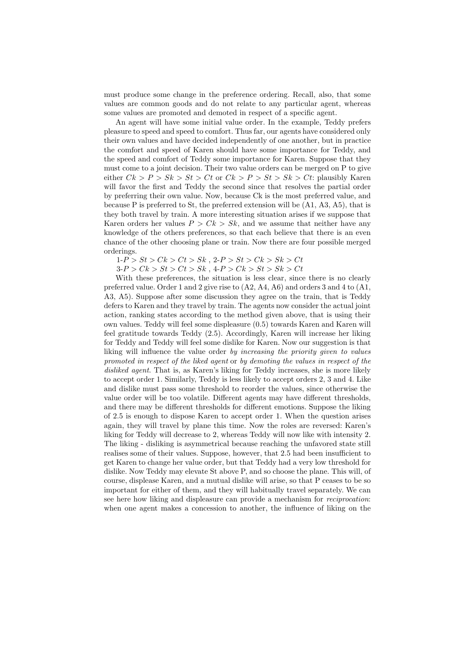must produce some change in the preference ordering. Recall, also, that some values are common goods and do not relate to any particular agent, whereas some values are promoted and demoted in respect of a specific agent.

An agent will have some initial value order. In the example, Teddy prefers pleasure to speed and speed to comfort. Thus far, our agents have considered only their own values and have decided independently of one another, but in practice the comfort and speed of Karen should have some importance for Teddy, and the speed and comfort of Teddy some importance for Karen. Suppose that they must come to a joint decision. Their two value orders can be merged on P to give either  $Ck > P > Sk > St > Ct$  or  $Ck > P > St > Sk > Ct$ : plausibly Karen will favor the first and Teddy the second since that resolves the partial order by preferring their own value. Now, because Ck is the most preferred value, and because P is preferred to St, the preferred extension will be  $(A1, A3, A5)$ , that is they both travel by train. A more interesting situation arises if we suppose that Karen orders her values  $P > Ck > Sk$ , and we assume that neither have any knowledge of the others preferences, so that each believe that there is an even chance of the other choosing plane or train. Now there are four possible merged orderings.

 $1-P > St > Ck > Ct > Sk$ ,  $2-P > St > Ck > Sk > Ct$ 

 $3-P > Ck > St > Ct > Sk$ ,  $4-P > Ck > St > Sk > Ct$ 

With these preferences, the situation is less clear, since there is no clearly preferred value. Order 1 and 2 give rise to (A2, A4, A6) and orders 3 and 4 to (A1, A3, A5). Suppose after some discussion they agree on the train, that is Teddy defers to Karen and they travel by train. The agents now consider the actual joint action, ranking states according to the method given above, that is using their own values. Teddy will feel some displeasure (0.5) towards Karen and Karen will feel gratitude towards Teddy (2.5). Accordingly, Karen will increase her liking for Teddy and Teddy will feel some dislike for Karen. Now our suggestion is that liking will influence the value order by increasing the priority given to values promoted in respect of the liked agent or by demoting the values in respect of the disliked agent. That is, as Karen's liking for Teddy increases, she is more likely to accept order 1. Similarly, Teddy is less likely to accept orders 2, 3 and 4. Like and dislike must pass some threshold to reorder the values, since otherwise the value order will be too volatile. Different agents may have different thresholds, and there may be different thresholds for different emotions. Suppose the liking of 2.5 is enough to dispose Karen to accept order 1. When the question arises again, they will travel by plane this time. Now the roles are reversed: Karen's liking for Teddy will decrease to 2, whereas Teddy will now like with intensity 2. The liking - disliking is asymmetrical because reaching the unfavored state still realises some of their values. Suppose, however, that 2.5 had been insufficient to get Karen to change her value order, but that Teddy had a very low threshold for dislike. Now Teddy may elevate St above P, and so choose the plane. This will, of course, displease Karen, and a mutual dislike will arise, so that P ceases to be so important for either of them, and they will habitually travel separately. We can see here how liking and displeasure can provide a mechanism for reciprocation: when one agent makes a concession to another, the influence of liking on the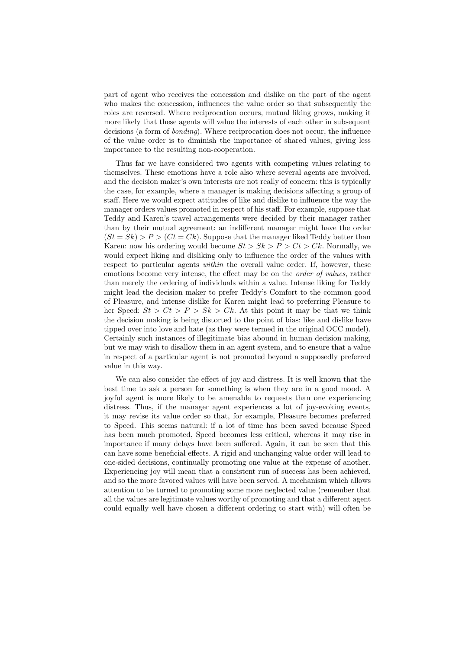part of agent who receives the concession and dislike on the part of the agent who makes the concession, influences the value order so that subsequently the roles are reversed. Where reciprocation occurs, mutual liking grows, making it more likely that these agents will value the interests of each other in subsequent decisions (a form of bonding). Where reciprocation does not occur, the influence of the value order is to diminish the importance of shared values, giving less importance to the resulting non-cooperation.

Thus far we have considered two agents with competing values relating to themselves. These emotions have a role also where several agents are involved, and the decision maker's own interests are not really of concern: this is typically the case, for example, where a manager is making decisions affecting a group of staff. Here we would expect attitudes of like and dislike to influence the way the manager orders values promoted in respect of his staff. For example, suppose that Teddy and Karen's travel arrangements were decided by their manager rather than by their mutual agreement: an indifferent manager might have the order  $(St = Sk) > P > (Ct = Ck)$ . Suppose that the manager liked Teddy better than Karen: now his ordering would become  $St > Sk > P > Ct > Ck$ . Normally, we would expect liking and disliking only to influence the order of the values with respect to particular agents *within* the overall value order. If, however, these emotions become very intense, the effect may be on the order of values, rather than merely the ordering of individuals within a value. Intense liking for Teddy might lead the decision maker to prefer Teddy's Comfort to the common good of Pleasure, and intense dislike for Karen might lead to preferring Pleasure to her Speed:  $St > Ct > P > Sk > Ck$ . At this point it may be that we think the decision making is being distorted to the point of bias: like and dislike have tipped over into love and hate (as they were termed in the original OCC model). Certainly such instances of illegitimate bias abound in human decision making, but we may wish to disallow them in an agent system, and to ensure that a value in respect of a particular agent is not promoted beyond a supposedly preferred value in this way.

We can also consider the effect of joy and distress. It is well known that the best time to ask a person for something is when they are in a good mood. A joyful agent is more likely to be amenable to requests than one experiencing distress. Thus, if the manager agent experiences a lot of joy-evoking events, it may revise its value order so that, for example, Pleasure becomes preferred to Speed. This seems natural: if a lot of time has been saved because Speed has been much promoted, Speed becomes less critical, whereas it may rise in importance if many delays have been suffered. Again, it can be seen that this can have some beneficial effects. A rigid and unchanging value order will lead to one-sided decisions, continually promoting one value at the expense of another. Experiencing joy will mean that a consistent run of success has been achieved. and so the more favored values will have been served. A mechanism which allows attention to be turned to promoting some more neglected value (remember that all the values are legitimate values worthy of promoting and that a different agent could equally well have chosen a different ordering to start with) will often be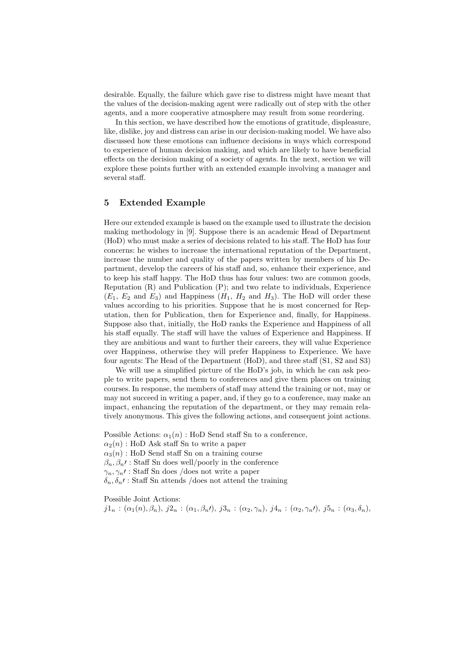desirable. Equally, the failure which gave rise to distress might have meant that the values of the decision-making agent were radically out of step with the other agents, and a more cooperative atmosphere may result from some reordering.

In this section, we have described how the emotions of gratitude, displeasure, like, dislike, joy and distress can arise in our decision-making model. We have also discussed how these emotions can influence decisions in ways which correspond to experience of human decision making, and which are likely to have beneficial effects on the decision making of a society of agents. In the next, section we will explore these points further with an extended example involving a manager and several staff.

#### 5 Extended Example

Here our extended example is based on the example used to illustrate the decision making methodology in [9]. Suppose there is an academic Head of Department (HoD) who must make a series of decisions related to his staff. The HoD has four concerns: he wishes to increase the international reputation of the Department, increase the number and quality of the papers written by members of his Department, develop the careers of his staff and, so, enhance their experience, and to keep his staff happy. The HoD thus has four values: two are common goods, Reputation (R) and Publication (P); and two relate to individuals, Experience  $(E_1, E_2 \text{ and } E_3)$  and Happiness  $(H_1, H_2 \text{ and } H_3)$ . The HoD will order these values according to his priorities. Suppose that he is most concerned for Reputation, then for Publication, then for Experience and, finally, for Happiness. Suppose also that, initially, the HoD ranks the Experience and Happiness of all his staff equally. The staff will have the values of Experience and Happiness. If they are ambitious and want to further their careers, they will value Experience over Happiness, otherwise they will prefer Happiness to Experience. We have four agents: The Head of the Department (HoD), and three staff (S1, S2 and S3)

We will use a simplified picture of the HoD's job, in which he can ask people to write papers, send them to conferences and give them places on training courses. In response, the members of staff may attend the training or not, may or may not succeed in writing a paper, and, if they go to a conference, may make an impact, enhancing the reputation of the department, or they may remain relatively anonymous. This gives the following actions, and consequent joint actions.

Possible Actions:  $\alpha_1(n)$ : HoD Send staff Sn to a conference,  $\alpha_2(n)$ : HoD Ask staff Sn to write a paper  $\alpha_3(n)$ : HoD Send staff Sn on a training course  $\beta_n, \beta_n$ , : Staff Sn does well/poorly in the conference  $\gamma_n, \gamma_n'$ : Staff Sn does /does not write a paper  $\delta_n, \delta_n$ ': Staff Sn attends /does not attend the training

Possible Joint Actions:

 $j1_n : (\alpha_1(n), \beta_n), j2_n : (\alpha_1, \beta_n), j3_n : (\alpha_2, \gamma_n), j4_n : (\alpha_2, \gamma_n), j5_n : (\alpha_3, \delta_n),$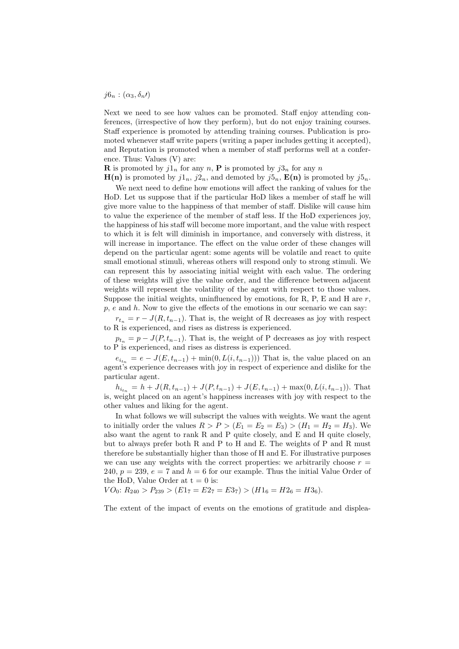# $j6_n$  :  $(\alpha_3, \delta_n)$

Next we need to see how values can be promoted. Staff enjoy attending conferences, (irrespective of how they perform), but do not enjoy training courses. Staff experience is promoted by attending training courses. Publication is promoted whenever staff write papers (writing a paper includes getting it accepted), and Reputation is promoted when a member of staff performs well at a conference. Thus: Values (V) are:

### **R** is promoted by  $i1_n$  for any n, **P** is promoted by  $i3_n$  for any n

 $H(n)$  is promoted by  $j1_n$ ,  $j2_n$ , and demoted by  $j5_n$ ,  $E(n)$  is promoted by  $j5_n$ .

We next need to define how emotions will affect the ranking of values for the HoD. Let us suppose that if the particular HoD likes a member of staff he will give more value to the happiness of that member of staff. Dislike will cause him to value the experience of the member of staff less. If the HoD experiences joy, the happiness of his staff will become more important, and the value with respect to which it is felt will diminish in importance, and conversely with distress, it will increase in importance. The effect on the value order of these changes will depend on the particular agent: some agents will be volatile and react to quite small emotional stimuli, whereas others will respond only to strong stimuli. We can represent this by associating initial weight with each value. The ordering of these weights will give the value order, and the difference between adjacent weights will represent the volatility of the agent with respect to those values. Suppose the initial weights, uninfluenced by emotions, for R, P, E and H are  $r$ ,  $p, e$  and h. Now to give the effects of the emotions in our scenario we can say:

 $r_{t_n} = r - J(R, t_{n-1})$ . That is, the weight of R decreases as joy with respect to R is experienced, and rises as distress is experienced.

 $p_{t_n} = p - J(P, t_{n-1})$ . That is, the weight of P decreases as joy with respect to P is experienced, and rises as distress is experienced.

 $e_{i_{t_n}} = e - J(E, t_{n-1}) + \min(0, L(i, t_{n-1})))$  That is, the value placed on an agent's experience decreases with joy in respect of experience and dislike for the particular agent.

 $h_{i_{t_n}} = h + J(R, t_{n-1}) + J(P, t_{n-1}) + J(E, t_{n-1}) + \max(0, L(i, t_{n-1}))$ . That is, weight placed on an agent's happiness increases with joy with respect to the other values and liking for the agent.

In what follows we will subscript the values with weights. We want the agent to initially order the values  $R > P > (E_1 = E_2 = E_3) > (H_1 = H_2 = H_3)$ . We also want the agent to rank R and P quite closely, and E and H quite closely, but to always prefer both R and P to H and E. The weights of P and R must therefore be substantially higher than those of H and E. For illustrative purposes we can use any weights with the correct properties: we arbitrarily choose  $r =$ 240,  $p = 239$ ,  $e = 7$  and  $h = 6$  for our example. Thus the initial Value Order of the HoD, Value Order at  $t = 0$  is:

$$
VO_0: R_{240} > P_{239} > (E1_7 = E2_7 = E3_7) > (H1_6 = H2_6 = H3_6).
$$

The extent of the impact of events on the emotions of gratitude and displea-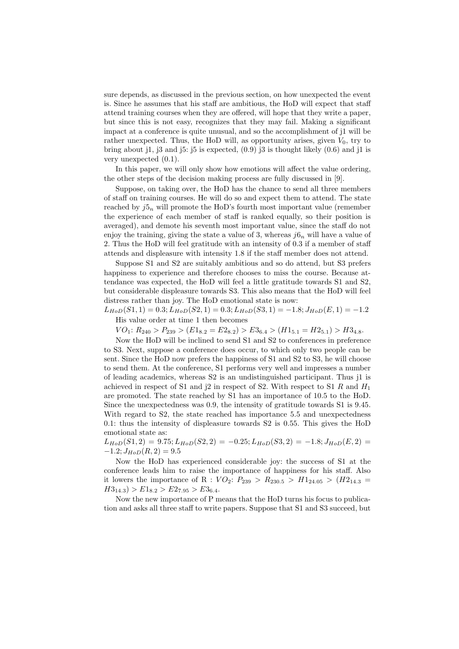sure depends, as discussed in the previous section, on how unexpected the event is. Since he assumes that his staff are ambitious, the HoD will expect that staff attend training courses when they are offered, will hope that they write a paper, but since this is not easy, recognizes that they may fail. Making a significant impact at a conference is quite unusual, and so the accomplishment of j1 will be rather unexpected. Thus, the HoD will, as opportunity arises, given  $V_0$ , try to bring about  $i$ 1,  $i$ 3 and  $i$ 5:  $i$ 5 is expected,  $(0.9)$   $i$ 3 is thought likely  $(0.6)$  and  $i$ 1 is very unexpected (0.1).

In this paper, we will only show how emotions will affect the value ordering, the other steps of the decision making process are fully discussed in [9].

Suppose, on taking over, the HoD has the chance to send all three members of staff on training courses. He will do so and expect them to attend. The state reached by  $j5_n$  will promote the HoD's fourth most important value (remember the experience of each member of staff is ranked equally, so their position is averaged), and demote his seventh most important value, since the staff do not enjoy the training, giving the state a value of 3, whereas  $j6_n$  will have a value of 2. Thus the HoD will feel gratitude with an intensity of 0.3 if a member of staff attends and displeasure with intensity 1.8 if the staff member does not attend.

Suppose S1 and S2 are suitably ambitious and so do attend, but S3 prefers happiness to experience and therefore chooses to miss the course. Because attendance was expected, the HoD will feel a little gratitude towards S1 and S2, but considerable displeasure towards S3. This also means that the HoD will feel distress rather than joy. The HoD emotional state is now:

 $L_{HoD}(S1, 1) = 0.3; L_{HoD}(S2, 1) = 0.3; L_{HoD}(S3, 1) = -1.8; J_{HoD}(E, 1) = -1.2$ His value order at time 1 then becomes

 $VO_1: R_{240} > P_{239} > (E1_{8.2} = E2_{8.2}) > E3_{6.4} > (H1_{5.1} = H2_{5.1}) > H3_{4.8}.$ 

Now the HoD will be inclined to send S1 and S2 to conferences in preference to S3. Next, suppose a conference does occur, to which only two people can be sent. Since the HoD now prefers the happiness of S1 and S2 to S3, he will choose to send them. At the conference, S1 performs very well and impresses a number of leading academics, whereas S2 is an undistinguished participant. Thus j1 is achieved in respect of S1 and  $j2$  in respect of S2. With respect to S1 R and  $H_1$ are promoted. The state reached by S1 has an importance of 10.5 to the HoD. Since the unexpectedness was 0.9, the intensity of gratitude towards S1 is 9.45. With regard to S2, the state reached has importance 5.5 and unexpectedness 0.1: thus the intensity of displeasure towards S2 is 0.55. This gives the HoD emotional state as:

 $L_{HoD}(S1, 2) = 9.75; L_{HoD}(S2, 2) = -0.25; L_{HoD}(S3, 2) = -1.8; J_{HoD}(E, 2) =$  $-1.2; J_{HoD}(R, 2) = 9.5$ 

Now the HoD has experienced considerable joy: the success of S1 at the conference leads him to raise the importance of happiness for his staff. Also it lowers the importance of R :  $VO_2$ :  $P_{239} > R_{230.5} > H1_{24.05} > (H2_{14.3} =$  $H3_{14.3}$ ) >  $E1_{8.2}$  >  $E2_{7.95}$  >  $E3_{6.4}$ .

Now the new importance of P means that the HoD turns his focus to publication and asks all three staff to write papers. Suppose that S1 and S3 succeed, but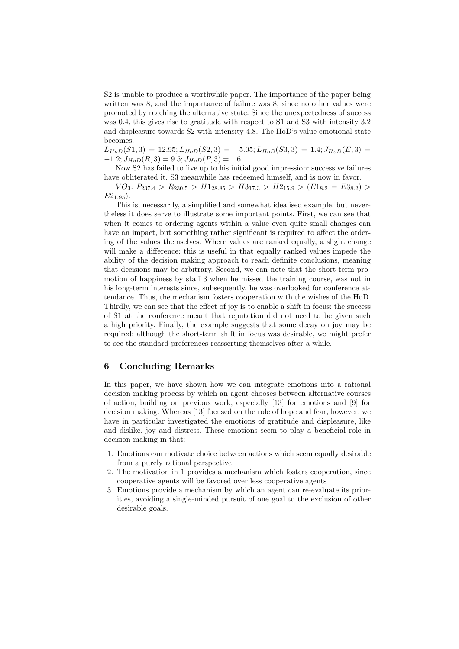S2 is unable to produce a worthwhile paper. The importance of the paper being written was 8, and the importance of failure was 8, since no other values were promoted by reaching the alternative state. Since the unexpectedness of success was 0.4, this gives rise to gratitude with respect to S1 and S3 with intensity 3.2 and displeasure towards S2 with intensity 4.8. The HoD's value emotional state becomes:

 $L_{HoD}(S1,3) = 12.95; L_{HoD}(S2,3) = -5.05; L_{HoD}(S3,3) = 1.4; J_{HoD}(E,3) =$  $-1.2; J_{HoD}(R, 3) = 9.5; J_{HoD}(P, 3) = 1.6$ 

Now S2 has failed to live up to his initial good impression: successive failures have obliterated it. S3 meanwhile has redeemed himself, and is now in favor.

 $VO_3$ :  $P_{237.4} > R_{230.5} > H1_{28.85} > H3_{17.3} > H2_{15.9} > (E1_{8.2} = E3_{8.2}) >$  $E2_{1.95}$ ).

This is, necessarily, a simplified and somewhat idealised example, but nevertheless it does serve to illustrate some important points. First, we can see that when it comes to ordering agents within a value even quite small changes can have an impact, but something rather significant is required to affect the ordering of the values themselves. Where values are ranked equally, a slight change will make a difference: this is useful in that equally ranked values impede the ability of the decision making approach to reach definite conclusions, meaning that decisions may be arbitrary. Second, we can note that the short-term promotion of happiness by staff 3 when he missed the training course, was not in his long-term interests since, subsequently, he was overlooked for conference attendance. Thus, the mechanism fosters cooperation with the wishes of the HoD. Thirdly, we can see that the effect of joy is to enable a shift in focus: the success of S1 at the conference meant that reputation did not need to be given such a high priority. Finally, the example suggests that some decay on joy may be required: although the short-term shift in focus was desirable, we might prefer to see the standard preferences reasserting themselves after a while.

### 6 Concluding Remarks

In this paper, we have shown how we can integrate emotions into a rational decision making process by which an agent chooses between alternative courses of action, building on previous work, especially [13] for emotions and [9] for decision making. Whereas [13] focused on the role of hope and fear, however, we have in particular investigated the emotions of gratitude and displeasure, like and dislike, joy and distress. These emotions seem to play a beneficial role in decision making in that:

- 1. Emotions can motivate choice between actions which seem equally desirable from a purely rational perspective
- 2. The motivation in 1 provides a mechanism which fosters cooperation, since cooperative agents will be favored over less cooperative agents
- 3. Emotions provide a mechanism by which an agent can re-evaluate its priorities, avoiding a single-minded pursuit of one goal to the exclusion of other desirable goals.